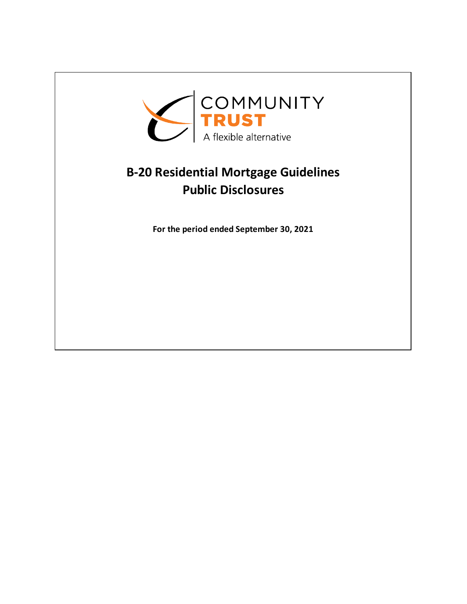

## **B-20 Residential Mortgage Guidelines Public Disclosures**

**For the period ended September 30, 2021**